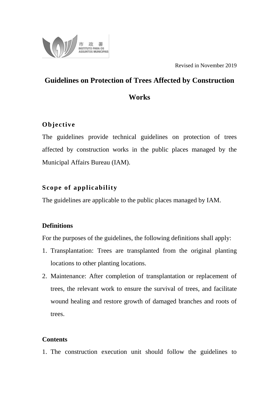

Revised in November 2019

# **Guidelines on Protection of Trees Affected by Construction Works**

## **Objective**

The guidelines provide technical guidelines on protection of trees affected by construction works in the public places managed by the Municipal Affairs Bureau (IAM).

## **Scope of applicability**

The guidelines are applicable to the public places managed by IAM.

### **Definitions**

For the purposes of the guidelines, the following definitions shall apply:

- 1. Transplantation: Trees are transplanted from the original planting locations to other planting locations.
- 2. Maintenance: After completion of transplantation or replacement of trees, the relevant work to ensure the survival of trees, and facilitate wound healing and restore growth of damaged branches and roots of trees.

### **Contents**

1. The construction execution unit should follow the guidelines to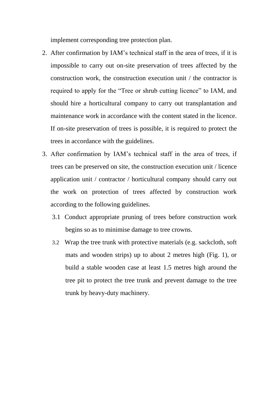implement corresponding tree protection plan.

- 2. After confirmation by IAM's technical staff in the area of trees, if it is impossible to carry out on-site preservation of trees affected by the construction work, the construction execution unit / the contractor is required to apply for the "Tree or shrub cutting licence" to IAM, and should hire a horticultural company to carry out transplantation and maintenance work in accordance with the content stated in the licence. If on-site preservation of trees is possible, it is required to protect the trees in accordance with the guidelines.
- 3. After confirmation by IAM's technical staff in the area of trees, if trees can be preserved on site, the construction execution unit / licence application unit / contractor / horticultural company should carry out the work on protection of trees affected by construction work according to the following guidelines.
	- 3.1 Conduct appropriate pruning of trees before construction work begins so as to minimise damage to tree crowns.
	- 3.2 Wrap the tree trunk with protective materials (e.g. sackcloth, soft mats and wooden strips) up to about 2 metres high (Fig. 1), or build a stable wooden case at least 1.5 metres high around the tree pit to protect the tree trunk and prevent damage to the tree trunk by heavy-duty machinery.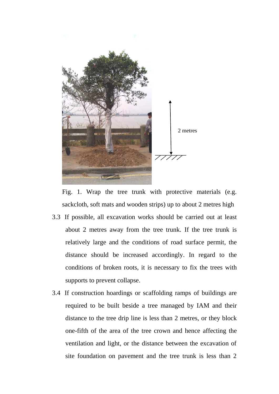

Fig. 1. Wrap the tree trunk with protective materials (e.g. sackcloth, soft mats and wooden strips) up to about 2 metres high

- 3.3 If possible, all excavation works should be carried out at least about 2 metres away from the tree trunk. If the tree trunk is relatively large and the conditions of road surface permit, the distance should be increased accordingly. In regard to the conditions of broken roots, it is necessary to fix the trees with supports to prevent collapse.
- 3.4 If construction hoardings or scaffolding ramps of buildings are required to be built beside a tree managed by IAM and their distance to the tree drip line is less than 2 metres, or they block one-fifth of the area of the tree crown and hence affecting the ventilation and light, or the distance between the excavation of site foundation on pavement and the tree trunk is less than 2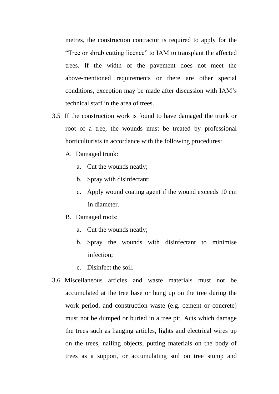metres, the construction contractor is required to apply for the "Tree or shrub cutting licence" to IAM to transplant the affected trees. If the width of the pavement does not meet the above-mentioned requirements or there are other special conditions, exception may be made after discussion with IAM's technical staff in the area of trees.

- 3.5 If the construction work is found to have damaged the trunk or root of a tree, the wounds must be treated by professional horticulturists in accordance with the following procedures:
	- A. Damaged trunk:
		- a. Cut the wounds neatly;
		- b. Spray with disinfectant;
		- c. Apply wound coating agent if the wound exceeds 10 cm in diameter.
	- B. Damaged roots:
		- a. Cut the wounds neatly;
		- b. Spray the wounds with disinfectant to minimise infection;
		- c. Disinfect the soil.
- 3.6 Miscellaneous articles and waste materials must not be accumulated at the tree base or hung up on the tree during the work period, and construction waste (e.g. cement or concrete) must not be dumped or buried in a tree pit. Acts which damage the trees such as hanging articles, lights and electrical wires up on the trees, nailing objects, putting materials on the body of trees as a support, or accumulating soil on tree stump and